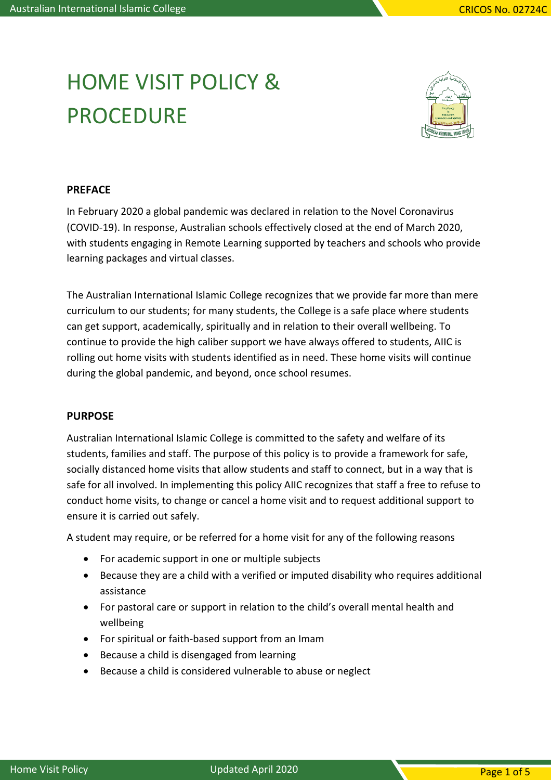# HOME VISIT POLICY & **PROCEDURE**



#### **PREFACE**

In February 2020 a global pandemic was declared in relation to the Novel Coronavirus (COVID-19). In response, Australian schools effectively closed at the end of March 2020, with students engaging in Remote Learning supported by teachers and schools who provide learning packages and virtual classes.

The Australian International Islamic College recognizes that we provide far more than mere curriculum to our students; for many students, the College is a safe place where students can get support, academically, spiritually and in relation to their overall wellbeing. To continue to provide the high caliber support we have always offered to students, AIIC is rolling out home visits with students identified as in need. These home visits will continue during the global pandemic, and beyond, once school resumes.

#### **PURPOSE**

Australian International Islamic College is committed to the safety and welfare of its students, families and staff. The purpose of this policy is to provide a framework for safe, socially distanced home visits that allow students and staff to connect, but in a way that is safe for all involved. In implementing this policy AIIC recognizes that staff a free to refuse to conduct home visits, to change or cancel a home visit and to request additional support to ensure it is carried out safely.

A student may require, or be referred for a home visit for any of the following reasons

- For academic support in one or multiple subjects
- Because they are a child with a verified or imputed disability who requires additional assistance
- For pastoral care or support in relation to the child's overall mental health and wellbeing
- For spiritual or faith-based support from an Imam
- Because a child is disengaged from learning
- Because a child is considered vulnerable to abuse or neglect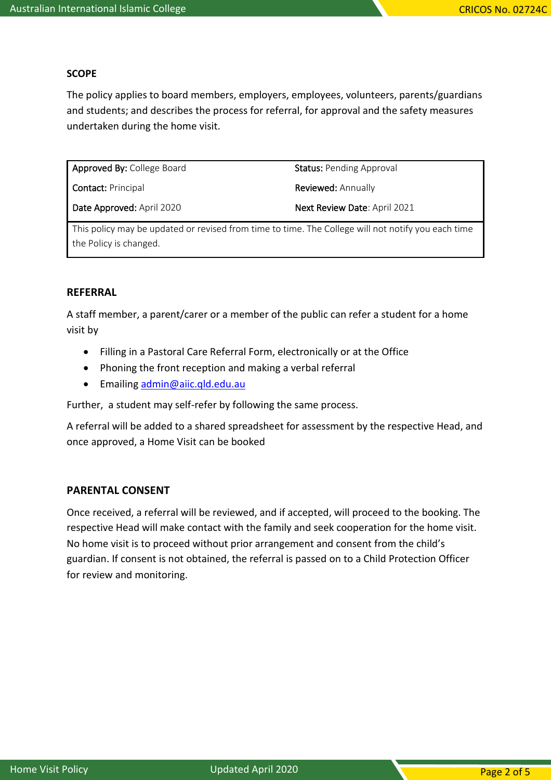## **SCOPE**

The policy applies to board members, employers, employees, volunteers, parents/guardians and students; and describes the process for referral, for approval and the safety measures undertaken during the home visit.

Approved By: College Board Contact: Principal Date Approved: April 2020 Status: Pending Approval Reviewed: Annually Next Review Date: April 2021

This policy may be updated or revised from time to time. The College will not notify you each time the Policy is changed.

#### **REFERRAL**

A staff member, a parent/carer or a member of the public can refer a student for a home visit by

- Filling in a Pastoral Care Referral Form, electronically or at the Office
- Phoning the front reception and making a verbal referral
- Emailing [admin@aiic.qld.edu.au](mailto:admin@aiic.qld.edu.au)

Further, a student may self-refer by following the same process.

A referral will be added to a shared spreadsheet for assessment by the respective Head, and once approved, a Home Visit can be booked

#### **PARENTAL CONSENT**

Once received, a referral will be reviewed, and if accepted, will proceed to the booking. The respective Head will make contact with the family and seek cooperation for the home visit. No home visit is to proceed without prior arrangement and consent from the child's guardian. If consent is not obtained, the referral is passed on to a Child Protection Officer for review and monitoring.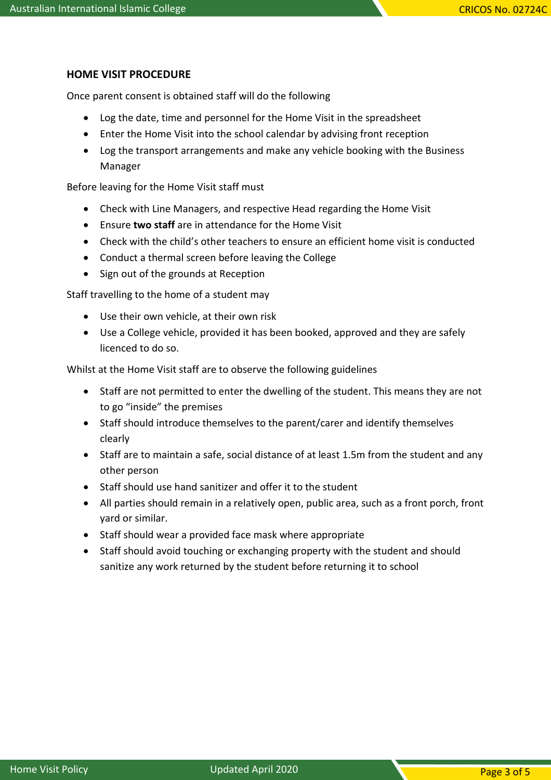## **HOME VISIT PROCEDURE**

Once parent consent is obtained staff will do the following

- Log the date, time and personnel for the Home Visit in the spreadsheet
- Enter the Home Visit into the school calendar by advising front reception
- Log the transport arrangements and make any vehicle booking with the Business Manager

Before leaving for the Home Visit staff must

- Check with Line Managers, and respective Head regarding the Home Visit
- Ensure **two staff** are in attendance for the Home Visit
- Check with the child's other teachers to ensure an efficient home visit is conducted
- Conduct a thermal screen before leaving the College
- Sign out of the grounds at Reception

Staff travelling to the home of a student may

- Use their own vehicle, at their own risk
- Use a College vehicle, provided it has been booked, approved and they are safely licenced to do so.

Whilst at the Home Visit staff are to observe the following guidelines

- Staff are not permitted to enter the dwelling of the student. This means they are not to go "inside" the premises
- Staff should introduce themselves to the parent/carer and identify themselves clearly
- Staff are to maintain a safe, social distance of at least 1.5m from the student and any other person
- Staff should use hand sanitizer and offer it to the student
- All parties should remain in a relatively open, public area, such as a front porch, front yard or similar.
- Staff should wear a provided face mask where appropriate
- Staff should avoid touching or exchanging property with the student and should sanitize any work returned by the student before returning it to school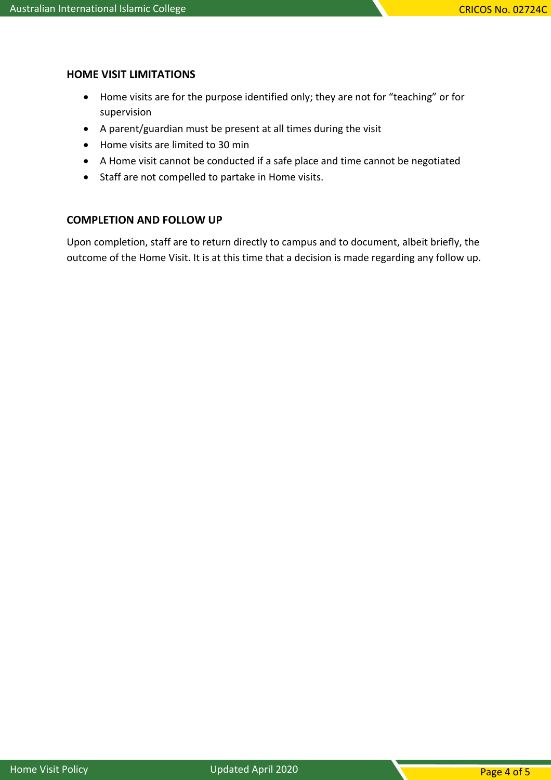## **HOME VISIT LIMITATIONS**

- Home visits are for the purpose identified only; they are not for "teaching" or for supervision
- A parent/guardian must be present at all times during the visit
- Home visits are limited to 30 min
- A Home visit cannot be conducted if a safe place and time cannot be negotiated
- Staff are not compelled to partake in Home visits.

## **COMPLETION AND FOLLOW UP**

Upon completion, staff are to return directly to campus and to document, albeit briefly, the outcome of the Home Visit. It is at this time that a decision is made regarding any follow up.